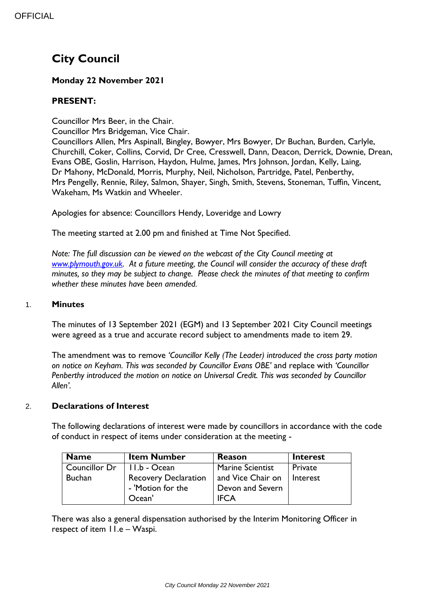# **City Council**

## **Monday 22 November 2021**

## **PRESENT:**

Councillor Mrs Beer, in the Chair.

Councillor Mrs Bridgeman, Vice Chair.

Councillors Allen, Mrs Aspinall, Bingley, Bowyer, Mrs Bowyer, Dr Buchan, Burden, Carlyle, Churchill, Coker, Collins, Corvid, Dr Cree, Cresswell, Dann, Deacon, Derrick, Downie, Drean, Evans OBE, Goslin, Harrison, Haydon, Hulme, James, Mrs Johnson, Jordan, Kelly, Laing, Dr Mahony, McDonald, Morris, Murphy, Neil, Nicholson, Partridge, Patel, Penberthy, Mrs Pengelly, Rennie, Riley, Salmon, Shayer, Singh, Smith, Stevens, Stoneman, Tuffin, Vincent, Wakeham, Ms Watkin and Wheeler.

Apologies for absence: Councillors Hendy, Loveridge and Lowry

The meeting started at 2.00 pm and finished at Time Not Specified.

*Note: The full discussion can be viewed on the webcast of the City Council meeting at [www.plymouth.gov.uk.](http://www.plymouth.gov.uk/) At a future meeting, the Council will consider the accuracy of these draft minutes, so they may be subject to change. Please check the minutes of that meeting to confirm whether these minutes have been amended.*

## 1. **Minutes**

The minutes of 13 September 2021 (EGM) and 13 September 2021 City Council meetings were agreed as a true and accurate record subject to amendments made to item 29.

The amendment was to remove *'Councillor Kelly (The Leader) introduced the cross party motion on notice on Keyham. This was seconded by Councillor Evans OBE'* and replace with *'Councillor Penberthy introduced the motion on notice on Universal Credit. This was seconded by Councillor Allen'.* 

## 2. **Declarations of Interest**

The following declarations of interest were made by councillors in accordance with the code of conduct in respect of items under consideration at the meeting -

| <b>Name</b>                  | <b>Item Number</b>          | <b>Reason</b>     | <b>Interest</b> |
|------------------------------|-----------------------------|-------------------|-----------------|
| Councillor Dr   11.b - Ocean |                             | Marine Scientist  | Private         |
| <b>Buchan</b>                | <b>Recovery Declaration</b> | and Vice Chair on | Interest        |
|                              | - 'Motion for the           | Devon and Severn  |                 |
|                              | Ocean'                      | <b>IFCA</b>       |                 |

There was also a general dispensation authorised by the Interim Monitoring Officer in respect of item 11.e – Waspi.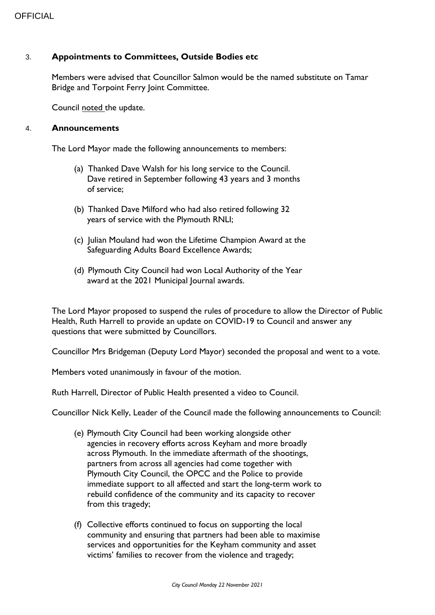## 3. **Appointments to Committees, Outside Bodies etc**

Members were advised that Councillor Salmon would be the named substitute on Tamar Bridge and Torpoint Ferry Joint Committee.

Council noted the update.

#### 4. **Announcements**

The Lord Mayor made the following announcements to members:

- (a) Thanked Dave Walsh for his long service to the Council. Dave retired in September following 43 years and 3 months of service;
- (b) Thanked Dave Milford who had also retired following 32 years of service with the Plymouth RNLI;
- (c) Julian Mouland had won the Lifetime Champion Award at the Safeguarding Adults Board Excellence Awards;
- (d) Plymouth City Council had won Local Authority of the Year award at the 2021 Municipal Journal awards.

The Lord Mayor proposed to suspend the rules of procedure to allow the Director of Public Health, Ruth Harrell to provide an update on COVID-19 to Council and answer any questions that were submitted by Councillors.

Councillor Mrs Bridgeman (Deputy Lord Mayor) seconded the proposal and went to a vote.

Members voted unanimously in favour of the motion.

Ruth Harrell, Director of Public Health presented a video to Council.

Councillor Nick Kelly, Leader of the Council made the following announcements to Council:

- (e) Plymouth City Council had been working alongside other agencies in recovery efforts across Keyham and more broadly across Plymouth. In the immediate aftermath of the shootings, partners from across all agencies had come together with Plymouth City Council, the OPCC and the Police to provide immediate support to all affected and start the long-term work to rebuild confidence of the community and its capacity to recover from this tragedy;
- (f) Collective efforts continued to focus on supporting the local community and ensuring that partners had been able to maximise services and opportunities for the Keyham community and asset victims' families to recover from the violence and tragedy;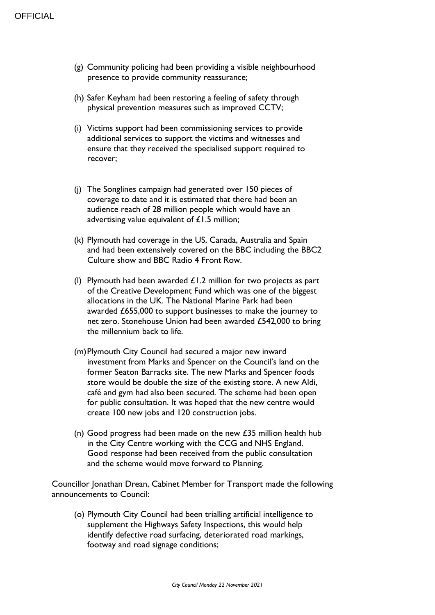- (g) Community policing had been providing a visible neighbourhood presence to provide community reassurance;
- (h) Safer Keyham had been restoring a feeling of safety through physical prevention measures such as improved CCTV;
- (i) Victims support had been commissioning services to provide additional services to support the victims and witnesses and ensure that they received the specialised support required to recover;
- (j) The Songlines campaign had generated over 150 pieces of coverage to date and it is estimated that there had been an audience reach of 28 million people which would have an advertising value equivalent of £1.5 million;
- (k) Plymouth had coverage in the US, Canada, Australia and Spain and had been extensively covered on the BBC including the BBC2 Culture show and BBC Radio 4 Front Row.
- (I) Plymouth had been awarded  $£1.2$  million for two projects as part of the Creative Development Fund which was one of the biggest allocations in the UK. The National Marine Park had been awarded £655,000 to support businesses to make the journey to net zero. Stonehouse Union had been awarded £542,000 to bring the millennium back to life.
- (m)Plymouth City Council had secured a major new inward investment from Marks and Spencer on the Council's land on the former Seaton Barracks site. The new Marks and Spencer foods store would be double the size of the existing store. A new Aldi, café and gym had also been secured. The scheme had been open for public consultation. It was hoped that the new centre would create 100 new jobs and 120 construction jobs.
- (n) Good progress had been made on the new  $\pounds$ 35 million health hub in the City Centre working with the CCG and NHS England. Good response had been received from the public consultation and the scheme would move forward to Planning.

Councillor Jonathan Drean, Cabinet Member for Transport made the following announcements to Council:

(o) Plymouth City Council had been trialling artificial intelligence to supplement the Highways Safety Inspections, this would help identify defective road surfacing, deteriorated road markings, footway and road signage conditions;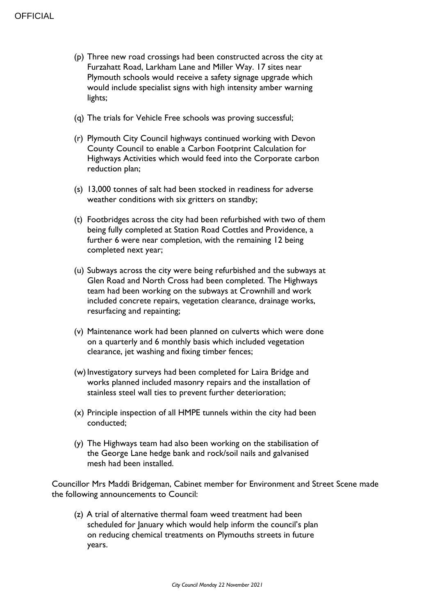- (p) Three new road crossings had been constructed across the city at Furzahatt Road, Larkham Lane and Miller Way. 17 sites near Plymouth schools would receive a safety signage upgrade which would include specialist signs with high intensity amber warning lights;
- (q) The trials for Vehicle Free schools was proving successful;
- (r) Plymouth City Council highways continued working with Devon County Council to enable a Carbon Footprint Calculation for Highways Activities which would feed into the Corporate carbon reduction plan;
- (s) 13,000 tonnes of salt had been stocked in readiness for adverse weather conditions with six gritters on standby;
- (t) Footbridges across the city had been refurbished with two of them being fully completed at Station Road Cottles and Providence, a further 6 were near completion, with the remaining 12 being completed next year;
- (u) Subways across the city were being refurbished and the subways at Glen Road and North Cross had been completed. The Highways team had been working on the subways at Crownhill and work included concrete repairs, vegetation clearance, drainage works, resurfacing and repainting;
- (v) Maintenance work had been planned on culverts which were done on a quarterly and 6 monthly basis which included vegetation clearance, jet washing and fixing timber fences;
- (w)Investigatory surveys had been completed for Laira Bridge and works planned included masonry repairs and the installation of stainless steel wall ties to prevent further deterioration;
- (x) Principle inspection of all HMPE tunnels within the city had been conducted;
- (y) The Highways team had also been working on the stabilisation of the George Lane hedge bank and rock/soil nails and galvanised mesh had been installed.

Councillor Mrs Maddi Bridgeman, Cabinet member for Environment and Street Scene made the following announcements to Council:

(z) A trial of alternative thermal foam weed treatment had been scheduled for January which would help inform the council's plan on reducing chemical treatments on Plymouths streets in future years.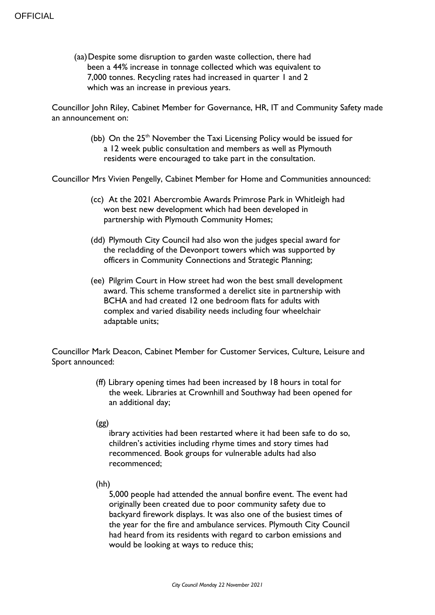(aa)Despite some disruption to garden waste collection, there had been a 44% increase in tonnage collected which was equivalent to 7,000 tonnes. Recycling rates had increased in quarter 1 and 2 which was an increase in previous years.

Councillor John Riley, Cabinet Member for Governance, HR, IT and Community Safety made an announcement on:

> (bb) On the  $25<sup>th</sup>$  November the Taxi Licensing Policy would be issued for a 12 week public consultation and members as well as Plymouth residents were encouraged to take part in the consultation.

Councillor Mrs Vivien Pengelly, Cabinet Member for Home and Communities announced:

- (cc) At the 2021 Abercrombie Awards Primrose Park in Whitleigh had won best new development which had been developed in partnership with Plymouth Community Homes;
- (dd) Plymouth City Council had also won the judges special award for the recladding of the Devonport towers which was supported by officers in Community Connections and Strategic Planning;
- (ee) Pilgrim Court in How street had won the best small development award. This scheme transformed a derelict site in partnership with BCHA and had created 12 one bedroom flats for adults with complex and varied disability needs including four wheelchair adaptable units;

Councillor Mark Deacon, Cabinet Member for Customer Services, Culture, Leisure and Sport announced:

- (ff) Library opening times had been increased by 18 hours in total for the week. Libraries at Crownhill and Southway had been opened for an additional day;
- $(gg)$

ibrary activities had been restarted where it had been safe to do so, children's activities including rhyme times and story times had recommenced. Book groups for vulnerable adults had also recommenced;

(hh) 2

5,000 people had attended the annual bonfire event. The event had originally been created due to poor community safety due to backyard firework displays. It was also one of the busiest times of the year for the fire and ambulance services. Plymouth City Council had heard from its residents with regard to carbon emissions and would be looking at ways to reduce this;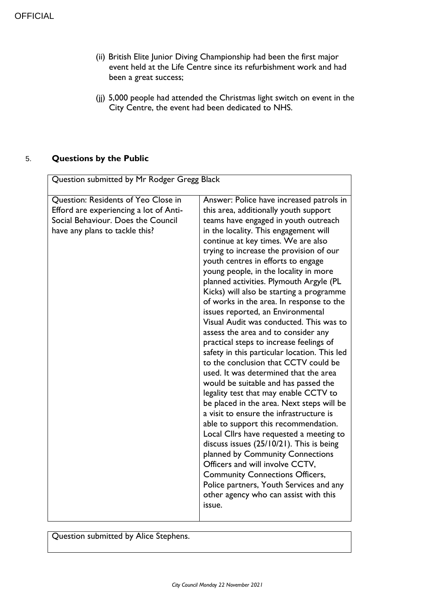- (ii) British Elite Junior Diving Championship had been the first major event held at the Life Centre since its refurbishment work and had been a great success;
- (jj) 5,000 people had attended the Christmas light switch on event in the City Centre, the event had been dedicated to NHS.

## 5. **Questions by the Public**

| Question submitted by Mr Rodger Gregg Black                                                                                                           |                                                                                                                                                                                                                                                                                                                                                                                                                                                                                                                                                                                                                                                                                                                                                                                                                                                                                                                                                                                                                                                                                                                                                                                                                                                                                                    |
|-------------------------------------------------------------------------------------------------------------------------------------------------------|----------------------------------------------------------------------------------------------------------------------------------------------------------------------------------------------------------------------------------------------------------------------------------------------------------------------------------------------------------------------------------------------------------------------------------------------------------------------------------------------------------------------------------------------------------------------------------------------------------------------------------------------------------------------------------------------------------------------------------------------------------------------------------------------------------------------------------------------------------------------------------------------------------------------------------------------------------------------------------------------------------------------------------------------------------------------------------------------------------------------------------------------------------------------------------------------------------------------------------------------------------------------------------------------------|
|                                                                                                                                                       |                                                                                                                                                                                                                                                                                                                                                                                                                                                                                                                                                                                                                                                                                                                                                                                                                                                                                                                                                                                                                                                                                                                                                                                                                                                                                                    |
| Question: Residents of Yeo Close in<br>Efford are experiencing a lot of Anti-<br>Social Behaviour. Does the Council<br>have any plans to tackle this? | Answer: Police have increased patrols in<br>this area, additionally youth support<br>teams have engaged in youth outreach<br>in the locality. This engagement will<br>continue at key times. We are also<br>trying to increase the provision of our<br>youth centres in efforts to engage<br>young people, in the locality in more<br>planned activities. Plymouth Argyle (PL<br>Kicks) will also be starting a programme<br>of works in the area. In response to the<br>issues reported, an Environmental<br>Visual Audit was conducted. This was to<br>assess the area and to consider any<br>practical steps to increase feelings of<br>safety in this particular location. This led<br>to the conclusion that CCTV could be<br>used. It was determined that the area<br>would be suitable and has passed the<br>legality test that may enable CCTV to<br>be placed in the area. Next steps will be<br>a visit to ensure the infrastructure is<br>able to support this recommendation.<br>Local Cllrs have requested a meeting to<br>discuss issues $(25/10/21)$ . This is being<br>planned by Community Connections<br>Officers and will involve CCTV,<br><b>Community Connections Officers,</b><br>Police partners, Youth Services and any<br>other agency who can assist with this<br>issue. |

Question submitted by Alice Stephens.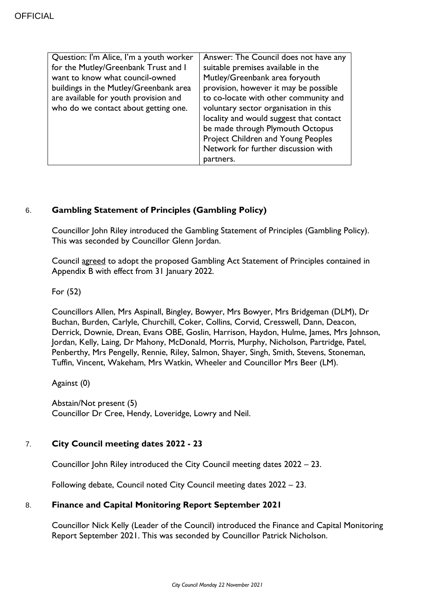| Question: I'm Alice, I'm a youth worker | Answer: The Council does not have any   |
|-----------------------------------------|-----------------------------------------|
| for the Mutley/Greenbank Trust and I    | suitable premises available in the      |
| want to know what council-owned         | Mutley/Greenbank area foryouth          |
| buildings in the Mutley/Greenbank area  | provision, however it may be possible   |
| are available for youth provision and   | to co-locate with other community and   |
| who do we contact about getting one.    | voluntary sector organisation in this   |
|                                         | locality and would suggest that contact |
|                                         | be made through Plymouth Octopus        |
|                                         | Project Children and Young Peoples      |
|                                         | Network for further discussion with     |
|                                         | partners.                               |

## 6. **Gambling Statement of Principles (Gambling Policy)**

Councillor John Riley introduced the Gambling Statement of Principles (Gambling Policy). This was seconded by Councillor Glenn Jordan.

Council agreed to adopt the proposed Gambling Act Statement of Principles contained in Appendix B with effect from 31 January 2022.

For (52)

Councillors Allen, Mrs Aspinall, Bingley, Bowyer, Mrs Bowyer, Mrs Bridgeman (DLM), Dr Buchan, Burden, Carlyle, Churchill, Coker, Collins, Corvid, Cresswell, Dann, Deacon, Derrick, Downie, Drean, Evans OBE, Goslin, Harrison, Haydon, Hulme, James, Mrs Johnson, Jordan, Kelly, Laing, Dr Mahony, McDonald, Morris, Murphy, Nicholson, Partridge, Patel, Penberthy, Mrs Pengelly, Rennie, Riley, Salmon, Shayer, Singh, Smith, Stevens, Stoneman, Tuffin, Vincent, Wakeham, Mrs Watkin, Wheeler and Councillor Mrs Beer (LM).

Against (0)

Abstain/Not present (5) Councillor Dr Cree, Hendy, Loveridge, Lowry and Neil.

## 7. **City Council meeting dates 2022 - 23**

Councillor John Riley introduced the City Council meeting dates 2022 – 23.

Following debate, Council noted City Council meeting dates 2022 – 23.

## 8. **Finance and Capital Monitoring Report September 2021**

Councillor Nick Kelly (Leader of the Council) introduced the Finance and Capital Monitoring Report September 2021. This was seconded by Councillor Patrick Nicholson.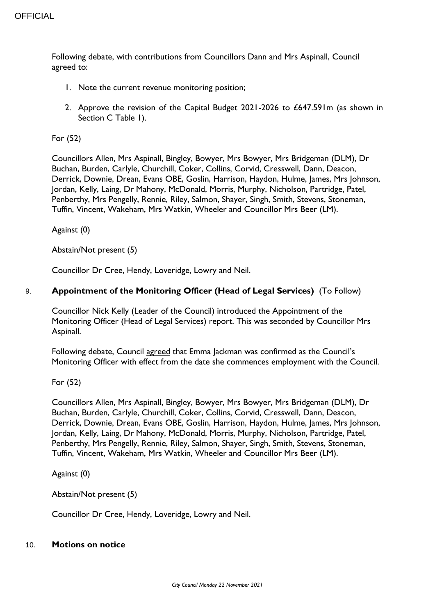Following debate, with contributions from Councillors Dann and Mrs Aspinall, Council agreed to:

- 1. Note the current revenue monitoring position;
- 2. Approve the revision of the Capital Budget 2021-2026 to £647.591m (as shown in Section C Table 1).

For (52)

Councillors Allen, Mrs Aspinall, Bingley, Bowyer, Mrs Bowyer, Mrs Bridgeman (DLM), Dr Buchan, Burden, Carlyle, Churchill, Coker, Collins, Corvid, Cresswell, Dann, Deacon, Derrick, Downie, Drean, Evans OBE, Goslin, Harrison, Haydon, Hulme, James, Mrs Johnson, Jordan, Kelly, Laing, Dr Mahony, McDonald, Morris, Murphy, Nicholson, Partridge, Patel, Penberthy, Mrs Pengelly, Rennie, Riley, Salmon, Shayer, Singh, Smith, Stevens, Stoneman, Tuffin, Vincent, Wakeham, Mrs Watkin, Wheeler and Councillor Mrs Beer (LM).

Against (0)

Abstain/Not present (5)

Councillor Dr Cree, Hendy, Loveridge, Lowry and Neil.

## 9. **Appointment of the Monitoring Officer (Head of Legal Services)** (To Follow)

Councillor Nick Kelly (Leader of the Council) introduced the Appointment of the Monitoring Officer (Head of Legal Services) report. This was seconded by Councillor Mrs Aspinall.

Following debate, Council agreed that Emma Jackman was confirmed as the Council's Monitoring Officer with effect from the date she commences employment with the Council.

For (52)

Councillors Allen, Mrs Aspinall, Bingley, Bowyer, Mrs Bowyer, Mrs Bridgeman (DLM), Dr Buchan, Burden, Carlyle, Churchill, Coker, Collins, Corvid, Cresswell, Dann, Deacon, Derrick, Downie, Drean, Evans OBE, Goslin, Harrison, Haydon, Hulme, James, Mrs Johnson, Jordan, Kelly, Laing, Dr Mahony, McDonald, Morris, Murphy, Nicholson, Partridge, Patel, Penberthy, Mrs Pengelly, Rennie, Riley, Salmon, Shayer, Singh, Smith, Stevens, Stoneman, Tuffin, Vincent, Wakeham, Mrs Watkin, Wheeler and Councillor Mrs Beer (LM).

Against (0)

Abstain/Not present (5)

Councillor Dr Cree, Hendy, Loveridge, Lowry and Neil.

## 10. **Motions on notice**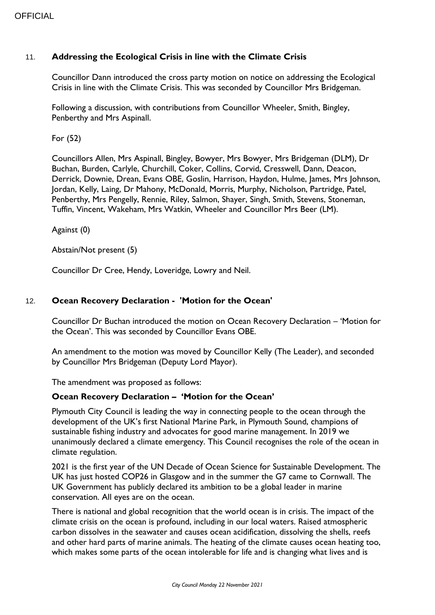## 11. **Addressing the Ecological Crisis in line with the Climate Crisis**

Councillor Dann introduced the cross party motion on notice on addressing the Ecological Crisis in line with the Climate Crisis. This was seconded by Councillor Mrs Bridgeman.

Following a discussion, with contributions from Councillor Wheeler, Smith, Bingley, Penberthy and Mrs Aspinall.

For (52)

Councillors Allen, Mrs Aspinall, Bingley, Bowyer, Mrs Bowyer, Mrs Bridgeman (DLM), Dr Buchan, Burden, Carlyle, Churchill, Coker, Collins, Corvid, Cresswell, Dann, Deacon, Derrick, Downie, Drean, Evans OBE, Goslin, Harrison, Haydon, Hulme, James, Mrs Johnson, Jordan, Kelly, Laing, Dr Mahony, McDonald, Morris, Murphy, Nicholson, Partridge, Patel, Penberthy, Mrs Pengelly, Rennie, Riley, Salmon, Shayer, Singh, Smith, Stevens, Stoneman, Tuffin, Vincent, Wakeham, Mrs Watkin, Wheeler and Councillor Mrs Beer (LM).

Against (0)

Abstain/Not present (5)

Councillor Dr Cree, Hendy, Loveridge, Lowry and Neil.

## 12. **Ocean Recovery Declaration - 'Motion for the Ocean'**

Councillor Dr Buchan introduced the motion on Ocean Recovery Declaration – 'Motion for the Ocean'. This was seconded by Councillor Evans OBE.

An amendment to the motion was moved by Councillor Kelly (The Leader), and seconded by Councillor Mrs Bridgeman (Deputy Lord Mayor).

The amendment was proposed as follows:

## **Ocean Recovery Declaration – 'Motion for the Ocean'**

Plymouth City Council is leading the way in connecting people to the ocean through the development of the UK's first National Marine Park, in Plymouth Sound, champions of sustainable fishing industry and advocates for good marine management. In 2019 we unanimously declared a climate emergency. This Council recognises the role of the ocean in climate regulation.

2021 is the first year of the UN Decade of Ocean Science for Sustainable Development. The UK has just hosted COP26 in Glasgow and in the summer the G7 came to Cornwall. The UK Government has publicly declared its ambition to be a global leader in marine conservation. All eyes are on the ocean.

There is national and global recognition that the world ocean is in crisis. The impact of the climate crisis on the ocean is profound, including in our local waters. Raised atmospheric carbon dissolves in the seawater and causes ocean acidification, dissolving the shells, reefs and other hard parts of marine animals. The heating of the climate causes ocean heating too, which makes some parts of the ocean intolerable for life and is changing what lives and is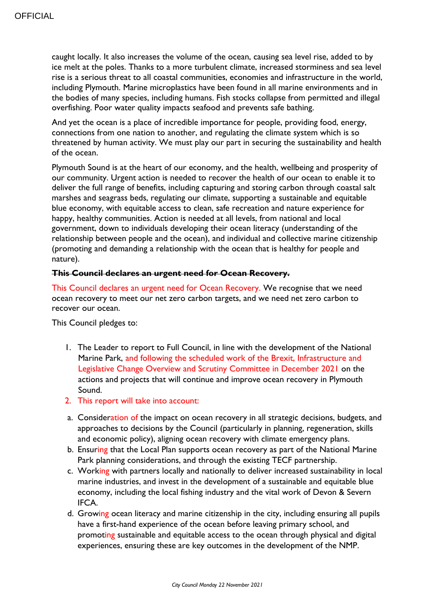caught locally. It also increases the volume of the ocean, causing sea level rise, added to by ice melt at the poles. Thanks to a more turbulent climate, increased storminess and sea level rise is a serious threat to all coastal communities, economies and infrastructure in the world, including Plymouth. Marine microplastics have been found in all marine environments and in the bodies of many species, including humans. Fish stocks collapse from permitted and illegal overfishing. Poor water quality impacts seafood and prevents safe bathing.

And yet the ocean is a place of incredible importance for people, providing food, energy, connections from one nation to another, and regulating the climate system which is so threatened by human activity. We must play our part in securing the sustainability and health of the ocean.

Plymouth Sound is at the heart of our economy, and the health, wellbeing and prosperity of our community. Urgent action is needed to recover the health of our ocean to enable it to deliver the full range of benefits, including capturing and storing carbon through coastal salt marshes and seagrass beds, regulating our climate, supporting a sustainable and equitable blue economy, with equitable access to clean, safe recreation and nature experience for happy, healthy communities. Action is needed at all levels, from national and local government, down to individuals developing their ocean literacy (understanding of the relationship between people and the ocean), and individual and collective marine citizenship (promoting and demanding a relationship with the ocean that is healthy for people and nature).

## **This Council declares an urgent need for Ocean Recovery.**

This Council declares an urgent need for Ocean Recovery. We recognise that we need ocean recovery to meet our net zero carbon targets, and we need net zero carbon to recover our ocean.

This Council pledges to:

- 1. The Leader to report to Full Council, in line with the development of the National Marine Park, and following the scheduled work of the Brexit, Infrastructure and Legislative Change Overview and Scrutiny Committee in December 2021 on the actions and projects that will continue and improve ocean recovery in Plymouth Sound.
- 2. This report will take into account:
- a. Consideration of the impact on ocean recovery in all strategic decisions, budgets, and approaches to decisions by the Council (particularly in planning, regeneration, skills and economic policy), aligning ocean recovery with climate emergency plans.
- b. Ensuring that the Local Plan supports ocean recovery as part of the National Marine Park planning considerations, and through the existing TECF partnership.
- c. Working with partners locally and nationally to deliver increased sustainability in local marine industries, and invest in the development of a sustainable and equitable blue economy, including the local fishing industry and the vital work of Devon & Severn IFCA.
- d. Growing ocean literacy and marine citizenship in the city, including ensuring all pupils have a first-hand experience of the ocean before leaving primary school, and promoting sustainable and equitable access to the ocean through physical and digital experiences, ensuring these are key outcomes in the development of the NMP.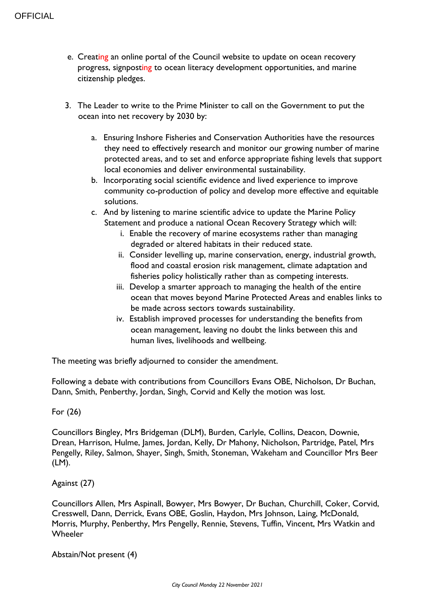- e. Creating an online portal of the Council website to update on ocean recovery progress, signposting to ocean literacy development opportunities, and marine citizenship pledges.
- 3. The Leader to write to the Prime Minister to call on the Government to put the ocean into net recovery by 2030 by:
	- a. Ensuring Inshore Fisheries and Conservation Authorities have the resources they need to effectively research and monitor our growing number of marine protected areas, and to set and enforce appropriate fishing levels that support local economies and deliver environmental sustainability.
	- b. Incorporating social scientific evidence and lived experience to improve community co-production of policy and develop more effective and equitable solutions.
	- c. And by listening to marine scientific advice to update the Marine Policy Statement and produce a national Ocean Recovery Strategy which will:
		- i. Enable the recovery of marine ecosystems rather than managing degraded or altered habitats in their reduced state.
		- ii. Consider levelling up, marine conservation, energy, industrial growth, flood and coastal erosion risk management, climate adaptation and fisheries policy holistically rather than as competing interests.
		- iii. Develop a smarter approach to managing the health of the entire ocean that moves beyond Marine Protected Areas and enables links to be made across sectors towards sustainability.
		- iv. Establish improved processes for understanding the benefits from ocean management, leaving no doubt the links between this and human lives, livelihoods and wellbeing.

The meeting was briefly adjourned to consider the amendment.

Following a debate with contributions from Councillors Evans OBE, Nicholson, Dr Buchan, Dann, Smith, Penberthy, Jordan, Singh, Corvid and Kelly the motion was lost.

## For (26)

Councillors Bingley, Mrs Bridgeman (DLM), Burden, Carlyle, Collins, Deacon, Downie, Drean, Harrison, Hulme, James, Jordan, Kelly, Dr Mahony, Nicholson, Partridge, Patel, Mrs Pengelly, Riley, Salmon, Shayer, Singh, Smith, Stoneman, Wakeham and Councillor Mrs Beer (LM).

## Against (27)

Councillors Allen, Mrs Aspinall, Bowyer, Mrs Bowyer, Dr Buchan, Churchill, Coker, Corvid, Cresswell, Dann, Derrick, Evans OBE, Goslin, Haydon, Mrs Johnson, Laing, McDonald, Morris, Murphy, Penberthy, Mrs Pengelly, Rennie, Stevens, Tuffin, Vincent, Mrs Watkin and **Wheeler** 

Abstain/Not present (4)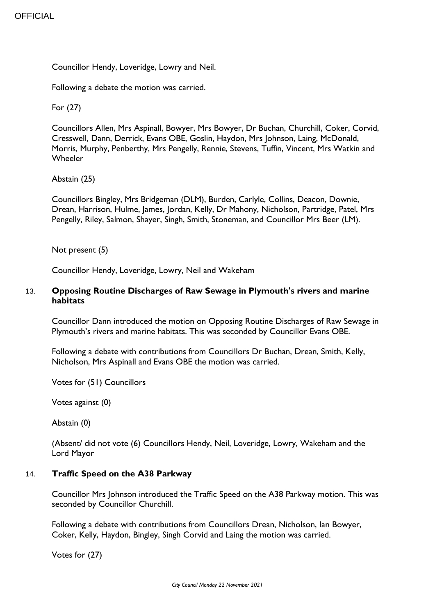Councillor Hendy, Loveridge, Lowry and Neil.

Following a debate the motion was carried.

For (27)

Councillors Allen, Mrs Aspinall, Bowyer, Mrs Bowyer, Dr Buchan, Churchill, Coker, Corvid, Cresswell, Dann, Derrick, Evans OBE, Goslin, Haydon, Mrs Johnson, Laing, McDonald, Morris, Murphy, Penberthy, Mrs Pengelly, Rennie, Stevens, Tuffin, Vincent, Mrs Watkin and **Wheeler** 

## Abstain (25)

Councillors Bingley, Mrs Bridgeman (DLM), Burden, Carlyle, Collins, Deacon, Downie, Drean, Harrison, Hulme, James, Jordan, Kelly, Dr Mahony, Nicholson, Partridge, Patel, Mrs Pengelly, Riley, Salmon, Shayer, Singh, Smith, Stoneman, and Councillor Mrs Beer (LM).

Not present (5)

Councillor Hendy, Loveridge, Lowry, Neil and Wakeham

## 13. **Opposing Routine Discharges of Raw Sewage in Plymouth's rivers and marine habitats**

Councillor Dann introduced the motion on Opposing Routine Discharges of Raw Sewage in Plymouth's rivers and marine habitats. This was seconded by Councillor Evans OBE.

Following a debate with contributions from Councillors Dr Buchan, Drean, Smith, Kelly, Nicholson, Mrs Aspinall and Evans OBE the motion was carried.

Votes for (51) Councillors

Votes against (0)

Abstain (0)

(Absent/ did not vote (6) Councillors Hendy, Neil, Loveridge, Lowry, Wakeham and the Lord Mayor

## 14. **Traffic Speed on the A38 Parkway**

Councillor Mrs Johnson introduced the Traffic Speed on the A38 Parkway motion. This was seconded by Councillor Churchill.

Following a debate with contributions from Councillors Drean, Nicholson, Ian Bowyer, Coker, Kelly, Haydon, Bingley, Singh Corvid and Laing the motion was carried.

Votes for (27)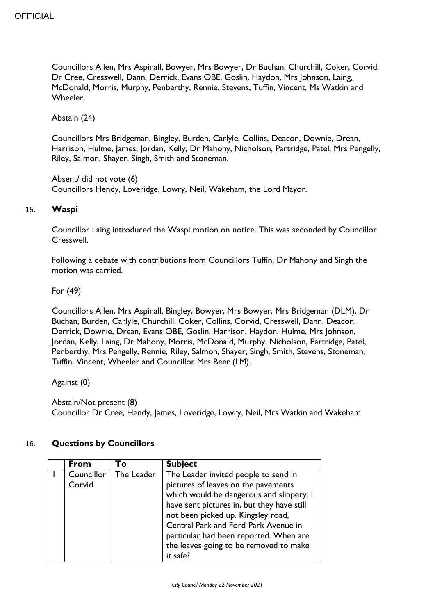Councillors Allen, Mrs Aspinall, Bowyer, Mrs Bowyer, Dr Buchan, Churchill, Coker, Corvid, Dr Cree, Cresswell, Dann, Derrick, Evans OBE, Goslin, Haydon, Mrs Johnson, Laing, McDonald, Morris, Murphy, Penberthy, Rennie, Stevens, Tuffin, Vincent, Ms Watkin and Wheeler.

Abstain (24)

Councillors Mrs Bridgeman, Bingley, Burden, Carlyle, Collins, Deacon, Downie, Drean, Harrison, Hulme, James, Jordan, Kelly, Dr Mahony, Nicholson, Partridge, Patel, Mrs Pengelly, Riley, Salmon, Shayer, Singh, Smith and Stoneman.

Absent/ did not vote (6) Councillors Hendy, Loveridge, Lowry, Neil, Wakeham, the Lord Mayor.

## 15. **Waspi**

Councillor Laing introduced the Waspi motion on notice. This was seconded by Councillor Cresswell.

Following a debate with contributions from Councillors Tuffin, Dr Mahony and Singh the motion was carried.

For (49)

Councillors Allen, Mrs Aspinall, Bingley, Bowyer, Mrs Bowyer, Mrs Bridgeman (DLM), Dr Buchan, Burden, Carlyle, Churchill, Coker, Collins, Corvid, Cresswell, Dann, Deacon, Derrick, Downie, Drean, Evans OBE, Goslin, Harrison, Haydon, Hulme, Mrs Johnson, Jordan, Kelly, Laing, Dr Mahony, Morris, McDonald, Murphy, Nicholson, Partridge, Patel, Penberthy, Mrs Pengelly, Rennie, Riley, Salmon, Shayer, Singh, Smith, Stevens, Stoneman, Tuffin, Vincent, Wheeler and Councillor Mrs Beer (LM).

Against (0)

Abstain/Not present (8) Councillor Dr Cree, Hendy, James, Loveridge, Lowry, Neil, Mrs Watkin and Wakeham

## 16. **Questions by Councillors**

| The Leader<br>Councillor<br>The Leader invited people to send in<br>pictures of leaves on the pavements<br>Corvid<br>which would be dangerous and slippery. I<br>have sent pictures in, but they have still<br>not been picked up. Kingsley road,<br>Central Park and Ford Park Avenue in<br>particular had been reported. When are<br>the leaves going to be removed to make<br>it safe? |  |
|-------------------------------------------------------------------------------------------------------------------------------------------------------------------------------------------------------------------------------------------------------------------------------------------------------------------------------------------------------------------------------------------|--|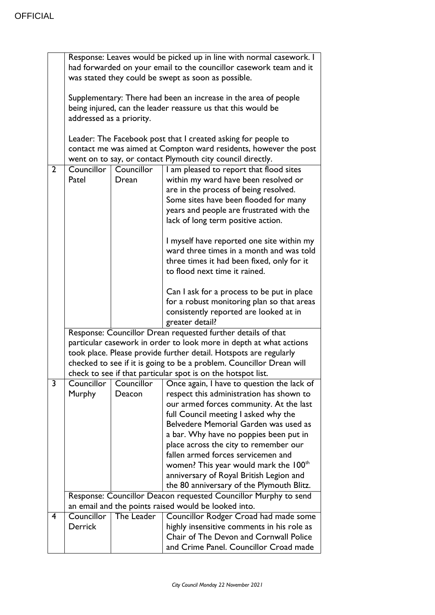|                | Response: Leaves would be picked up in line with normal casework. I<br>had forwarded on your email to the councillor casework team and it<br>was stated they could be swept as soon as possible.                                                                                                                                                |                      |                                                                                                                                                                                                                                                                                                                                                                                                |
|----------------|-------------------------------------------------------------------------------------------------------------------------------------------------------------------------------------------------------------------------------------------------------------------------------------------------------------------------------------------------|----------------------|------------------------------------------------------------------------------------------------------------------------------------------------------------------------------------------------------------------------------------------------------------------------------------------------------------------------------------------------------------------------------------------------|
|                | Supplementary: There had been an increase in the area of people<br>being injured, can the leader reassure us that this would be<br>addressed as a priority.                                                                                                                                                                                     |                      |                                                                                                                                                                                                                                                                                                                                                                                                |
|                |                                                                                                                                                                                                                                                                                                                                                 |                      | Leader: The Facebook post that I created asking for people to<br>contact me was aimed at Compton ward residents, however the post<br>went on to say, or contact Plymouth city council directly.                                                                                                                                                                                                |
| $\overline{2}$ | Councillor<br>Patel                                                                                                                                                                                                                                                                                                                             | Councillor<br>Drean  | I am pleased to report that flood sites<br>within my ward have been resolved or<br>are in the process of being resolved.<br>Some sites have been flooded for many<br>years and people are frustrated with the<br>lack of long term positive action.                                                                                                                                            |
|                |                                                                                                                                                                                                                                                                                                                                                 |                      | I myself have reported one site within my<br>ward three times in a month and was told<br>three times it had been fixed, only for it<br>to flood next time it rained.                                                                                                                                                                                                                           |
|                |                                                                                                                                                                                                                                                                                                                                                 |                      | Can I ask for a process to be put in place<br>for a robust monitoring plan so that areas<br>consistently reported are looked at in<br>greater detail?                                                                                                                                                                                                                                          |
|                | Response: Councillor Drean requested further details of that<br>particular casework in order to look more in depth at what actions<br>took place. Please provide further detail. Hotspots are regularly<br>checked to see if it is going to be a problem. Councillor Drean will<br>check to see if that particular spot is on the hotspot list. |                      |                                                                                                                                                                                                                                                                                                                                                                                                |
| 3              | Councillor<br>Murphy                                                                                                                                                                                                                                                                                                                            | Councillor<br>Deacon | Once again, I have to question the lack of<br>respect this administration has shown to                                                                                                                                                                                                                                                                                                         |
|                |                                                                                                                                                                                                                                                                                                                                                 |                      | our armed forces community. At the last<br>full Council meeting I asked why the<br>Belvedere Memorial Garden was used as<br>a bar. Why have no poppies been put in<br>place across the city to remember our<br>fallen armed forces servicemen and<br>women? This year would mark the 100 <sup>th</sup><br>anniversary of Royal British Legion and<br>the 80 anniversary of the Plymouth Blitz. |
|                |                                                                                                                                                                                                                                                                                                                                                 |                      | Response: Councillor Deacon requested Councillor Murphy to send                                                                                                                                                                                                                                                                                                                                |
| 4              | Councillor                                                                                                                                                                                                                                                                                                                                      |                      | an email and the points raised would be looked into.                                                                                                                                                                                                                                                                                                                                           |
|                | Derrick                                                                                                                                                                                                                                                                                                                                         | The Leader           | Councillor Rodger Croad had made some<br>highly insensitive comments in his role as<br>Chair of The Devon and Cornwall Police<br>and Crime Panel. Councillor Croad made                                                                                                                                                                                                                        |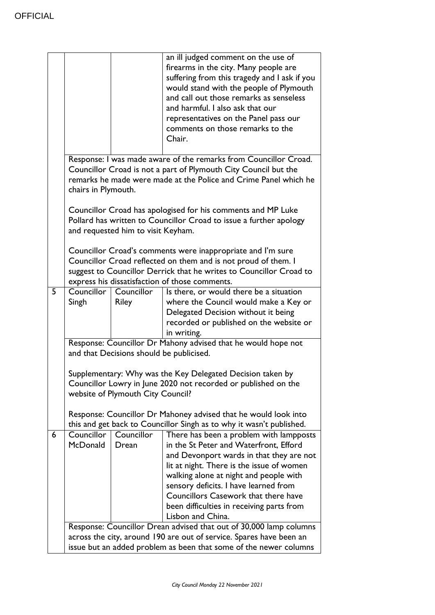|   |                                                                   |                                          | an ill judged comment on the use of<br>firearms in the city. Many people are<br>suffering from this tragedy and I ask if you<br>would stand with the people of Plymouth<br>and call out those remarks as senseless<br>and harmful. I also ask that our<br>representatives on the Panel pass our<br>comments on those remarks to the<br>Chair.                           |
|---|-------------------------------------------------------------------|------------------------------------------|-------------------------------------------------------------------------------------------------------------------------------------------------------------------------------------------------------------------------------------------------------------------------------------------------------------------------------------------------------------------------|
|   | chairs in Plymouth.                                               |                                          | Response: I was made aware of the remarks from Councillor Croad.<br>Councillor Croad is not a part of Plymouth City Council but the<br>remarks he made were made at the Police and Crime Panel which he                                                                                                                                                                 |
|   |                                                                   | and requested him to visit Keyham.       | Councillor Croad has apologised for his comments and MP Luke<br>Pollard has written to Councillor Croad to issue a further apology                                                                                                                                                                                                                                      |
|   |                                                                   |                                          | Councillor Croad's comments were inappropriate and I'm sure<br>Councillor Croad reflected on them and is not proud of them. I<br>suggest to Councillor Derrick that he writes to Councillor Croad to<br>express his dissatisfaction of those comments.                                                                                                                  |
| 5 | Councillor<br>Singh                                               | Councillor<br><b>Riley</b>               | Is there, or would there be a situation<br>where the Council would make a Key or<br>Delegated Decision without it being<br>recorded or published on the website or<br>in writing.                                                                                                                                                                                       |
|   |                                                                   |                                          | Response: Councillor Dr Mahony advised that he would hope not                                                                                                                                                                                                                                                                                                           |
|   |                                                                   | and that Decisions should be publicised. |                                                                                                                                                                                                                                                                                                                                                                         |
|   |                                                                   | website of Plymouth City Council?        | Supplementary: Why was the Key Delegated Decision taken by<br>Councillor Lowry in June 2020 not recorded or published on the                                                                                                                                                                                                                                            |
|   |                                                                   |                                          | Response: Councillor Dr Mahoney advised that he would look into<br>this and get back to Councillor Singh as to why it wasn't published.                                                                                                                                                                                                                                 |
| 6 | Councillor<br>McDonald                                            | Councillor<br>Drean                      | There has been a problem with lampposts<br>in the St Peter and Waterfront, Efford<br>and Devonport wards in that they are not<br>lit at night. There is the issue of women<br>walking alone at night and people with<br>sensory deficits. I have learned from<br>Councillors Casework that there have<br>been difficulties in receiving parts from<br>Lisbon and China. |
|   |                                                                   |                                          | Response: Councillor Drean advised that out of 30,000 lamp columns<br>across the city, around 190 are out of service. Spares have been an                                                                                                                                                                                                                               |
|   | issue but an added problem as been that some of the newer columns |                                          |                                                                                                                                                                                                                                                                                                                                                                         |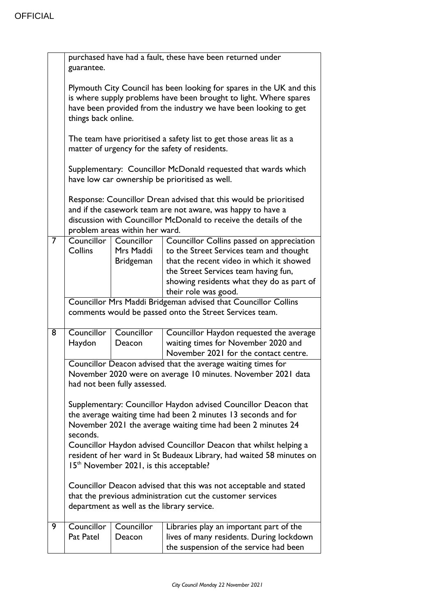|   | purchased have had a fault, these have been returned under<br>guarantee.                                                                                                                                                                                                           |                                             |                                                                                                                                                                                                                                               |
|---|------------------------------------------------------------------------------------------------------------------------------------------------------------------------------------------------------------------------------------------------------------------------------------|---------------------------------------------|-----------------------------------------------------------------------------------------------------------------------------------------------------------------------------------------------------------------------------------------------|
|   | Plymouth City Council has been looking for spares in the UK and this<br>is where supply problems have been brought to light. Where spares<br>have been provided from the industry we have been looking to get<br>things back online.                                               |                                             |                                                                                                                                                                                                                                               |
|   |                                                                                                                                                                                                                                                                                    |                                             | The team have prioritised a safety list to get those areas lit as a<br>matter of urgency for the safety of residents.                                                                                                                         |
|   | Supplementary: Councillor McDonald requested that wards which<br>have low car ownership be prioritised as well.                                                                                                                                                                    |                                             |                                                                                                                                                                                                                                               |
|   | Response: Councillor Drean advised that this would be prioritised<br>and if the casework team are not aware, was happy to have a<br>discussion with Councillor McDonald to receive the details of the<br>problem areas within her ward.                                            |                                             |                                                                                                                                                                                                                                               |
| 7 | Councillor<br>Collins                                                                                                                                                                                                                                                              | Councillor<br>Mrs Maddi<br><b>Bridgeman</b> | Councillor Collins passed on appreciation<br>to the Street Services team and thought<br>that the recent video in which it showed<br>the Street Services team having fun,<br>showing residents what they do as part of<br>their role was good. |
|   | Councillor Mrs Maddi Bridgeman advised that Councillor Collins<br>comments would be passed onto the Street Services team.                                                                                                                                                          |                                             |                                                                                                                                                                                                                                               |
| 8 | Councillor<br>Haydon                                                                                                                                                                                                                                                               | Councillor<br>Deacon                        | Councillor Haydon requested the average<br>waiting times for November 2020 and<br>November 2021 for the contact centre.                                                                                                                       |
|   | Councillor Deacon advised that the average waiting times for<br>November 2020 were on average 10 minutes. November 2021 data<br>had not been fully assessed.                                                                                                                       |                                             |                                                                                                                                                                                                                                               |
|   | Supplementary: Councillor Haydon advised Councillor Deacon that<br>the average waiting time had been 2 minutes 13 seconds and for<br>November 2021 the average waiting time had been 2 minutes 24<br>seconds.<br>Councillor Haydon advised Councillor Deacon that whilst helping a |                                             |                                                                                                                                                                                                                                               |
|   | resident of her ward in St Budeaux Library, had waited 58 minutes on<br>15 <sup>th</sup> November 2021, is this acceptable?                                                                                                                                                        |                                             |                                                                                                                                                                                                                                               |
|   | Councillor Deacon advised that this was not acceptable and stated<br>that the previous administration cut the customer services<br>department as well as the library service.                                                                                                      |                                             |                                                                                                                                                                                                                                               |
| 9 | Councillor<br>Pat Patel                                                                                                                                                                                                                                                            | Councillor<br>Deacon                        | Libraries play an important part of the<br>lives of many residents. During lockdown<br>the suspension of the service had been                                                                                                                 |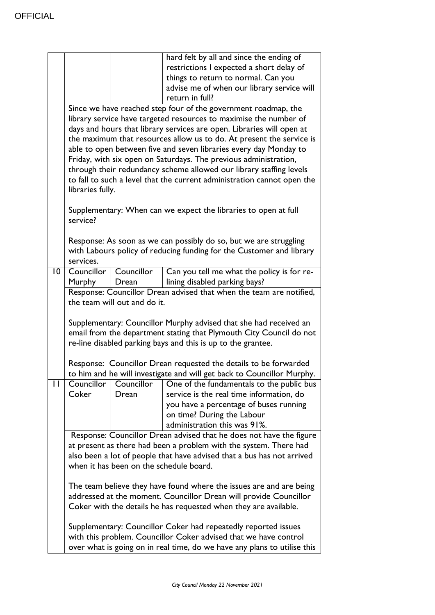|                 |                                                                                                                                                                                                                                                                                                                                                                                                                                                                                                                                                                                                     |                                                     | hard felt by all and since the ending of<br>restrictions I expected a short delay of<br>things to return to normal. Can you<br>advise me of when our library service will<br>return in full?                                                                            |
|-----------------|-----------------------------------------------------------------------------------------------------------------------------------------------------------------------------------------------------------------------------------------------------------------------------------------------------------------------------------------------------------------------------------------------------------------------------------------------------------------------------------------------------------------------------------------------------------------------------------------------------|-----------------------------------------------------|-------------------------------------------------------------------------------------------------------------------------------------------------------------------------------------------------------------------------------------------------------------------------|
|                 | Since we have reached step four of the government roadmap, the<br>library service have targeted resources to maximise the number of<br>days and hours that library services are open. Libraries will open at<br>the maximum that resources allow us to do. At present the service is<br>able to open between five and seven libraries every day Monday to<br>Friday, with six open on Saturdays. The previous administration,<br>through their redundancy scheme allowed our library staffing levels<br>to fall to such a level that the current administration cannot open the<br>libraries fully. |                                                     |                                                                                                                                                                                                                                                                         |
|                 | service?<br>services.                                                                                                                                                                                                                                                                                                                                                                                                                                                                                                                                                                               |                                                     | Supplementary: When can we expect the libraries to open at full<br>Response: As soon as we can possibly do so, but we are struggling<br>with Labours policy of reducing funding for the Customer and library                                                            |
| $\overline{10}$ | Councillor<br><b>Murphy</b>                                                                                                                                                                                                                                                                                                                                                                                                                                                                                                                                                                         | Councillor<br>Drean<br>the team will out and do it. | Can you tell me what the policy is for re-<br>lining disabled parking bays?<br>Response: Councillor Drean advised that when the team are notified,                                                                                                                      |
|                 | Supplementary: Councillor Murphy advised that she had received an<br>email from the department stating that Plymouth City Council do not<br>re-line disabled parking bays and this is up to the grantee.<br>Response: Councillor Drean requested the details to be forwarded                                                                                                                                                                                                                                                                                                                        |                                                     |                                                                                                                                                                                                                                                                         |
| п               | Councillor<br>Coker                                                                                                                                                                                                                                                                                                                                                                                                                                                                                                                                                                                 | Councillor<br>Drean                                 | to him and he will investigate and will get back to Councillor Murphy.<br>One of the fundamentals to the public bus<br>service is the real time information, do<br>you have a percentage of buses running<br>on time? During the Labour<br>administration this was 91%. |
|                 | Response: Councillor Drean advised that he does not have the figure<br>at present as there had been a problem with the system. There had<br>also been a lot of people that have advised that a bus has not arrived<br>when it has been on the schedule board.                                                                                                                                                                                                                                                                                                                                       |                                                     |                                                                                                                                                                                                                                                                         |
|                 | The team believe they have found where the issues are and are being<br>addressed at the moment. Councillor Drean will provide Councillor<br>Coker with the details he has requested when they are available.                                                                                                                                                                                                                                                                                                                                                                                        |                                                     |                                                                                                                                                                                                                                                                         |
|                 |                                                                                                                                                                                                                                                                                                                                                                                                                                                                                                                                                                                                     |                                                     | Supplementary: Councillor Coker had repeatedly reported issues<br>with this problem. Councillor Coker advised that we have control<br>over what is going on in real time, do we have any plans to utilise this                                                          |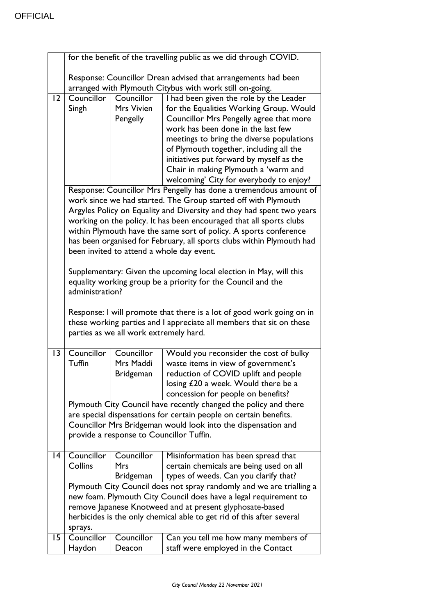|                 | for the benefit of the travelling public as we did through COVID. |                                          |                                                                                      |
|-----------------|-------------------------------------------------------------------|------------------------------------------|--------------------------------------------------------------------------------------|
|                 | Response: Councillor Drean advised that arrangements had been     |                                          |                                                                                      |
|                 |                                                                   |                                          | arranged with Plymouth Citybus with work still on-going.                             |
| $\overline{12}$ | Councillor                                                        | Councillor                               | I had been given the role by the Leader                                              |
|                 | Singh                                                             | Mrs Vivien                               | for the Equalities Working Group. Would                                              |
|                 |                                                                   | Pengelly                                 | Councillor Mrs Pengelly agree that more                                              |
|                 |                                                                   |                                          | work has been done in the last few                                                   |
|                 |                                                                   |                                          | meetings to bring the diverse populations<br>of Plymouth together, including all the |
|                 |                                                                   |                                          | initiatives put forward by myself as the                                             |
|                 |                                                                   |                                          | Chair in making Plymouth a 'warm and                                                 |
|                 |                                                                   |                                          | welcoming' City for everybody to enjoy?                                              |
|                 |                                                                   |                                          | Response: Councillor Mrs Pengelly has done a tremendous amount of                    |
|                 |                                                                   |                                          | work since we had started. The Group started off with Plymouth                       |
|                 |                                                                   |                                          | Argyles Policy on Equality and Diversity and they had spent two years                |
|                 |                                                                   |                                          | working on the policy. It has been encouraged that all sports clubs                  |
|                 |                                                                   |                                          | within Plymouth have the same sort of policy. A sports conference                    |
|                 |                                                                   |                                          | has been organised for February, all sports clubs within Plymouth had                |
|                 |                                                                   |                                          | been invited to attend a whole day event.                                            |
|                 |                                                                   |                                          | Supplementary: Given the upcoming local election in May, will this                   |
|                 |                                                                   |                                          | equality working group be a priority for the Council and the                         |
|                 | administration?                                                   |                                          |                                                                                      |
|                 |                                                                   |                                          |                                                                                      |
|                 |                                                                   |                                          | Response: I will promote that there is a lot of good work going on in                |
|                 |                                                                   |                                          | these working parties and I appreciate all members that sit on these                 |
|                 |                                                                   | parties as we all work extremely hard.   |                                                                                      |
| $\overline{13}$ | Councillor                                                        | Councillor                               | Would you reconsider the cost of bulky                                               |
|                 | Tuffin                                                            | Mrs Maddi                                | waste items in view of government's                                                  |
|                 |                                                                   | <b>Bridgeman</b>                         | reduction of COVID uplift and people                                                 |
|                 |                                                                   |                                          | losing £20 a week. Would there be a                                                  |
|                 |                                                                   |                                          | concession for people on benefits?                                                   |
|                 |                                                                   |                                          | Plymouth City Council have recently changed the policy and there                     |
|                 |                                                                   |                                          | are special dispensations for certain people on certain benefits.                    |
|                 |                                                                   | provide a response to Councillor Tuffin. | Councillor Mrs Bridgeman would look into the dispensation and                        |
|                 |                                                                   |                                          |                                                                                      |
| 4               | Councillor                                                        | Councillor                               | Misinformation has been spread that                                                  |
|                 | Collins                                                           | <b>Mrs</b>                               | certain chemicals are being used on all                                              |
|                 |                                                                   | <b>Bridgeman</b>                         | types of weeds. Can you clarify that?                                                |
|                 |                                                                   |                                          | Plymouth City Council does not spray randomly and we are trialling a                 |
|                 |                                                                   |                                          | new foam. Plymouth City Council does have a legal requirement to                     |
|                 |                                                                   |                                          | remove Japanese Knotweed and at present glyphosate-based                             |
|                 | sprays.                                                           |                                          | herbicides is the only chemical able to get rid of this after several                |
| 15              | Councillor                                                        | Councillor                               | Can you tell me how many members of                                                  |
|                 | Haydon                                                            | Deacon                                   | staff were employed in the Contact                                                   |
|                 |                                                                   |                                          |                                                                                      |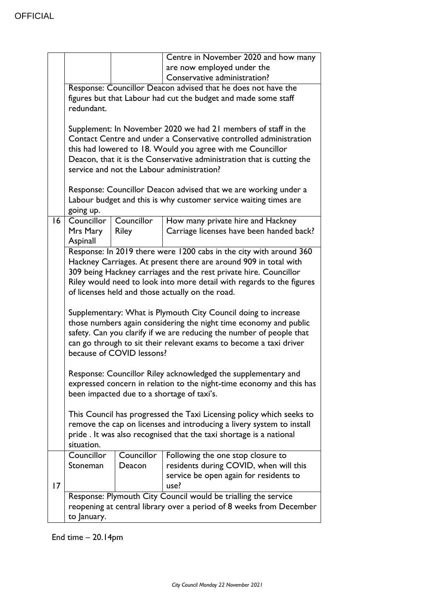|                 |                                                                                                                                                                                                                                                                                                                                          |                            | Centre in November 2020 and how many<br>are now employed under the                                                                    |  |
|-----------------|------------------------------------------------------------------------------------------------------------------------------------------------------------------------------------------------------------------------------------------------------------------------------------------------------------------------------------------|----------------------------|---------------------------------------------------------------------------------------------------------------------------------------|--|
|                 |                                                                                                                                                                                                                                                                                                                                          |                            | Conservative administration?                                                                                                          |  |
|                 | Response: Councillor Deacon advised that he does not have the<br>figures but that Labour had cut the budget and made some staff<br>redundant.                                                                                                                                                                                            |                            |                                                                                                                                       |  |
|                 | Supplement: In November 2020 we had 21 members of staff in the<br>Contact Centre and under a Conservative controlled administration<br>this had lowered to 18. Would you agree with me Councillor<br>Deacon, that it is the Conservative administration that is cutting the<br>service and not the Labour administration?                |                            |                                                                                                                                       |  |
|                 | going up.                                                                                                                                                                                                                                                                                                                                |                            | Response: Councillor Deacon advised that we are working under a<br>Labour budget and this is why customer service waiting times are   |  |
| $\overline{16}$ | Councillor<br>Mrs Mary<br>Aspinall                                                                                                                                                                                                                                                                                                       | Councillor<br><b>Riley</b> | How many private hire and Hackney<br>Carriage licenses have been handed back?                                                         |  |
|                 | Response: In 2019 there were 1200 cabs in the city with around 360<br>Hackney Carriages. At present there are around 909 in total with<br>309 being Hackney carriages and the rest private hire. Councillor<br>Riley would need to look into more detail with regards to the figures<br>of licenses held and those actually on the road. |                            |                                                                                                                                       |  |
|                 | Supplementary: What is Plymouth City Council doing to increase<br>those numbers again considering the night time economy and public<br>safety. Can you clarify if we are reducing the number of people that<br>can go through to sit their relevant exams to become a taxi driver<br>because of COVID lessons?                           |                            |                                                                                                                                       |  |
|                 | Response: Councillor Riley acknowledged the supplementary and<br>expressed concern in relation to the night-time economy and this has<br>been impacted due to a shortage of taxi's.                                                                                                                                                      |                            |                                                                                                                                       |  |
|                 | This Council has progressed the Taxi Licensing policy which seeks to<br>remove the cap on licenses and introducing a livery system to install<br>pride. It was also recognised that the taxi shortage is a national<br>situation.                                                                                                        |                            |                                                                                                                                       |  |
| $\overline{17}$ | Councillor<br>Stoneman                                                                                                                                                                                                                                                                                                                   | Councillor<br>Deacon       | Following the one stop closure to<br>residents during COVID, when will this<br>service be open again for residents to<br>use?         |  |
|                 | to January.                                                                                                                                                                                                                                                                                                                              |                            | Response: Plymouth City Council would be trialling the service<br>reopening at central library over a period of 8 weeks from December |  |

End time – 20.14pm